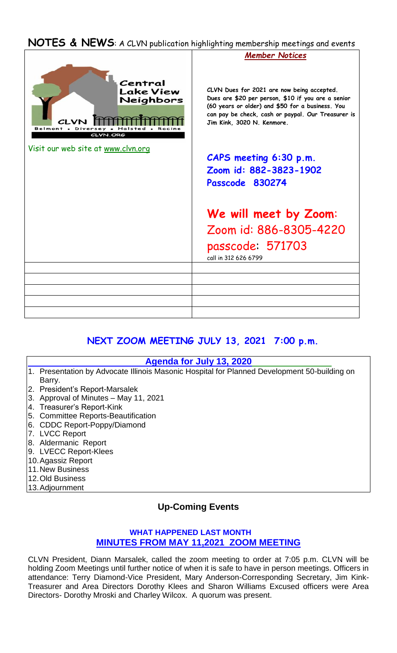## **NOTES & NEWS**: A CLVN publication highlighting membership meetings and events



# **NEXT ZOOM MEETING JULY 13, 2021 7:00 p.m.**

#### **Agenda for July 13, 2020**

- 1. Presentation by Advocate Illinois Masonic Hospital for Planned Development 50-building on Barry.
- 2. President's Report-Marsalek
- 3. Approval of Minutes May 11, 2021
- 4. Treasurer's Report-Kink
- 5. Committee Reports-Beautification
- 6. CDDC Report-Poppy/Diamond
- 7. LVCC Report
- 8. Aldermanic Report
- 9. LVECC Report-Klees
- 10.Agassiz Report
- 11.New Business
- 12.Old Business
- 13.Adjournment

## **Up-Coming Events**

### **WHAT HAPPENED LAST MONTH MINUTES FROM MAY 11,2021 ZOOM MEETING**

CLVN President, Diann Marsalek, called the zoom meeting to order at 7:05 p.m. CLVN will be holding Zoom Meetings until further notice of when it is safe to have in person meetings. Officers in attendance: Terry Diamond-Vice President, Mary Anderson-Corresponding Secretary, Jim Kink-Treasurer and Area Directors Dorothy Klees and Sharon Williams Excused officers were Area Directors- Dorothy Mroski and Charley Wilcox. A quorum was present.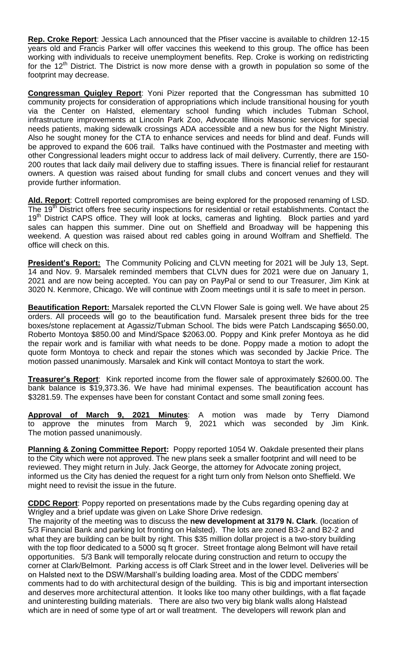**Rep. Croke Report**: Jessica Lach announced that the Pfiser vaccine is available to children 12-15 years old and Francis Parker will offer vaccines this weekend to this group. The office has been working with individuals to receive unemployment benefits. Rep. Croke is working on redistricting for the  $12<sup>th</sup>$  District. The District is now more dense with a growth in population so some of the footprint may decrease.

**Congressman Quigley Report**: Yoni Pizer reported that the Congressman has submitted 10 community projects for consideration of appropriations which include transitional housing for youth via the Center on Halsted, elementary school funding which includes Tubman School, infrastructure improvements at Lincoln Park Zoo, Advocate Illinois Masonic services for special needs patients, making sidewalk crossings ADA accessible and a new bus for the Night Ministry. Also he sought money for the CTA to enhance services and needs for blind and deaf. Funds will be approved to expand the 606 trail. Talks have continued with the Postmaster and meeting with other Congressional leaders might occur to address lack of mail delivery. Currently, there are 150- 200 routes that lack daily mail delivery due to staffing issues. There is financial relief for restaurant owners. A question was raised about funding for small clubs and concert venues and they will provide further information.

**Ald. Report**: Cottrell reported compromises are being explored for the proposed renaming of LSD. The 19<sup>th</sup> District offers free security inspections for residential or retail establishments. Contact the 19<sup>th</sup> District CAPS office. They will look at locks, cameras and lighting. Block parties and yard sales can happen this summer. Dine out on Sheffield and Broadway will be happening this weekend. A question was raised about red cables going in around Wolfram and Sheffield. The office will check on this.

**President's Report:** The Community Policing and CLVN meeting for 2021 will be July 13, Sept. 14 and Nov. 9. Marsalek reminded members that CLVN dues for 2021 were due on January 1, 2021 and are now being accepted. You can pay on PayPal or send to our Treasurer, Jim Kink at 3020 N. Kenmore, Chicago. We will continue with Zoom meetings until it is safe to meet in person.

**Beautification Report:** Marsalek reported the CLVN Flower Sale is going well. We have about 25 orders. All proceeds will go to the beautification fund. Marsalek present three bids for the tree boxes/stone replacement at Agassiz/Tubman School. The bids were Patch Landscaping \$650.00, Roberto Montoya \$850.00 and Mind/Space \$2063.00. Poppy and Kink prefer Montoya as he did the repair work and is familiar with what needs to be done. Poppy made a motion to adopt the quote form Montoya to check and repair the stones which was seconded by Jackie Price. The motion passed unanimously. Marsalek and Kink will contact Montoya to start the work.

**Treasurer's Report**: Kink reported income from the flower sale of approximately \$2600.00. The bank balance is \$19,373.36. We have had minimal expenses. The beautification account has \$3281.59. The expenses have been for constant Contact and some small zoning fees.

**Approval of March 9, 2021 Minutes**: A motion was made by Terry Diamond to approve the minutes from March 9, 2021 which was seconded by Jim Kink. The motion passed unanimously.

**Planning & Zoning Committee Report:** Poppy reported 1054 W. Oakdale presented their plans to the City which were not approved. The new plans seek a smaller footprint and will need to be reviewed. They might return in July. Jack George, the attorney for Advocate zoning project, informed us the City has denied the request for a right turn only from Nelson onto Sheffield. We might need to revisit the issue in the future.

**CDDC Report**: Poppy reported on presentations made by the Cubs regarding opening day at Wrigley and a brief update was given on Lake Shore Drive redesign.

The majority of the meeting was to discuss the **new development at 3179 N. Clark**. (location of 5/3 Financial Bank and parking lot fronting on Halsted). The lots are zoned B3-2 and B2-2 and what they are building can be built by right. This \$35 million dollar project is a two-story building with the top floor dedicated to a 5000 sq ft grocer. Street frontage along Belmont will have retail opportunities. 5/3 Bank will temporally relocate during construction and return to occupy the corner at Clark/Belmont. Parking access is off Clark Street and in the lower level. Deliveries will be on Halsted next to the DSW/Marshall's building loading area. Most of the CDDC members' comments had to do with architectural design of the building. This is big and important intersection and deserves more architectural attention. It looks like too many other buildings, with a flat façade and uninteresting building materials. There are also two very big blank walls along Halstead which are in need of some type of art or wall treatment. The developers will rework plan and